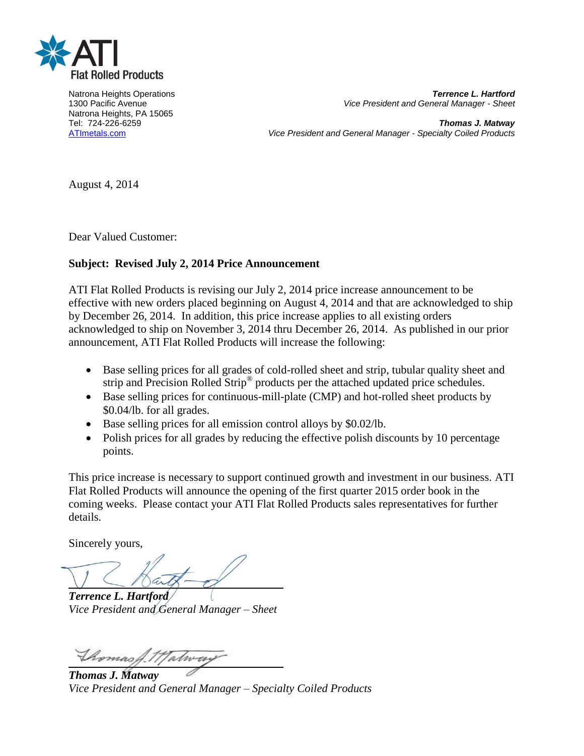

Natrona Heights, PA 15065

Natrona Heights Operations *Terrence L. Hartford* 1300 Pacific Avenue *Vice President and General Manager - Sheet*

Tel: 724-226-6259 *Thomas J. Matway* [ATImetals.com](http://www.atimetals.com/) *Vice President and General Manager - Specialty Coiled Products*

August 4, 2014

Dear Valued Customer:

# **Subject: Revised July 2, 2014 Price Announcement**

ATI Flat Rolled Products is revising our July 2, 2014 price increase announcement to be effective with new orders placed beginning on August 4, 2014 and that are acknowledged to ship by December 26, 2014. In addition, this price increase applies to all existing orders acknowledged to ship on November 3, 2014 thru December 26, 2014. As published in our prior announcement, ATI Flat Rolled Products will increase the following:

- Base selling prices for all grades of cold-rolled sheet and strip, tubular quality sheet and strip and Precision Rolled Strip<sup>®</sup> products per the attached updated price schedules.
- Base selling prices for continuous-mill-plate (CMP) and hot-rolled sheet products by \$0.04/lb. for all grades.
- Base selling prices for all emission control alloys by \$0.02/lb.
- Polish prices for all grades by reducing the effective polish discounts by 10 percentage points.

This price increase is necessary to support continued growth and investment in our business. ATI Flat Rolled Products will announce the opening of the first quarter 2015 order book in the coming weeks. Please contact your ATI Flat Rolled Products sales representatives for further details.

Sincerely yours,

*Terrence L. Hartford Vice President and General Manager – Sheet*

Thomas A.11 Tatway

*Thomas J. Matway Vice President and General Manager – Specialty Coiled Products*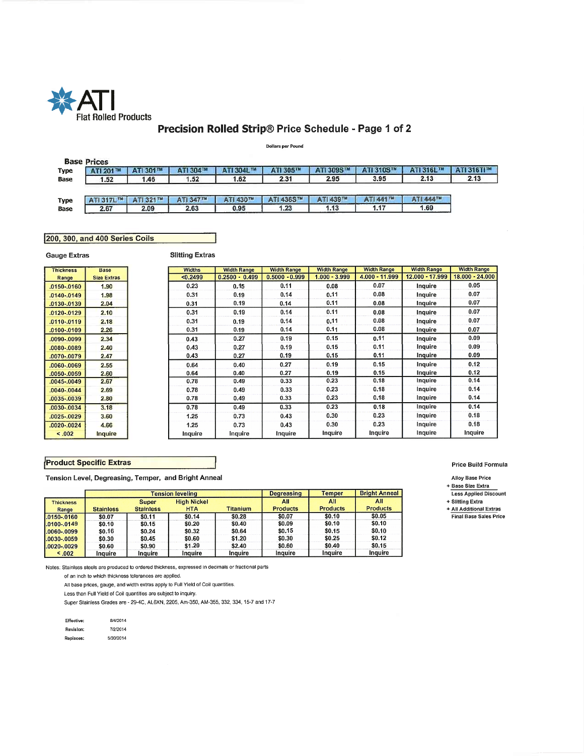

# Precision Rolled Strip® Price Schedule - Page 1 of 2

**Dollars per Pound** 

| ATI 304TM<br>1.52 | ATI 304L TM<br>2.31<br>1.62 | ATI 305™<br>ATI 309S™<br>2.95 | ATI 310S™<br>3.95 | ATI 316L™<br>2.13        | <b>ATI 316TITM</b> |
|-------------------|-----------------------------|-------------------------------|-------------------|--------------------------|--------------------|
|                   |                             |                               |                   |                          |                    |
|                   |                             |                               |                   |                          | 2.13               |
| ATI 347™          | 0.95                        | ATI 439™<br>1.13              | ATI 441TM<br>1.17 | <b>ATI 444TM</b><br>1.69 |                    |
|                   | 2.63                        | ATI 430™                      | ATI 436S™<br>1.23 |                          |                    |

### 200, 300, and 400 Series Coils

**Gauge Extras** 

**Slitting Extras** 

| <b>Thickness</b> | <b>Base</b>        | <b>Widths</b> | <b>Width Range</b> | <b>Width Range</b> | <b>Width Range</b> | <b>Width Range</b> | <b>Width Range</b> | <b>Width Range</b> |
|------------------|--------------------|---------------|--------------------|--------------------|--------------------|--------------------|--------------------|--------------------|
| Range            | <b>Size Extras</b> | < 0.2499      | $0.2500 - 0.499$   | $0.5000 - 0.999$   | $1.000 - 3.999$    | 4.000 - 11.999     | 12.000 - 17.999    | 18.000 - 24.000    |
| .0150-.0160      | 1.90               | 0.23          | 0.15               | 0.11               | 0.08               | 0.07               | Inquire            | 0.05               |
| .0140-.0149      | 1.98               | 0.31          | 0.19               | 0.14               | 0.11               | 0.08               | Inquire            | 0.07               |
| .0130-.0139      | 2.04               | 0.31          | 0.19               | 0.14               | 0.11               | 0.08               | Inquire            | 0.07               |
| .0120-.0129      | 2.10               | 0.31          | 0.19               | 0.14               | 0.11               | 0.08               | Inquire            | 0.07               |
| $.0110-.0119$    | 2.18               | 0.31          | 0.19               | 0.14               | 0.11               | 0.08               | Inquire            | 0.07               |
| $.0100-.0109$    | 2.26               | 0.31          | 0.19               | 0.14               | 0.11               | 0.08               | Inquire            | 0.07               |
| .0090-.0099      | 2.34               | 0.43          | 0.27               | 0.19               | 0.15               | 0.11               | Inquire            | 0.09               |
| 0080-0089.       | 2.40               | 0.43          | 0.27               | 0.19               | 0.15               | 0.11               | Inquire            | 0.09               |
| .0070-.0079      | 2.47               | 0.43          | 0.27               | 0.19               | 0.15               | 0.11               | Inquire            | 0.09               |
| .0060-.0069      | 2.55               | 0.64          | 0.40               | 0.27               | 0.19               | 0.15               | Inquire            | 0.12               |
| 0050-.0059       | 2.60               | 0.64          | 0.40               | 0.27               | 0.19               | 0.15               | Inquire            | 0.12               |
| .0045-.0049      | 2.67               | 0.78          | 0.49               | 0.33               | 0.23               | 0.18               | Inquire            | 0.14               |
| .0040-.0044      | 2.69               | 0.78          | 0.49               | 0.33               | 0.23               | 0.18               | Inquire            | 0.14               |
| .0035-.0039      | 2.80               | 0.78          | 0.49               | 0.33               | 0.23               | 0.18               | Inquire            | 0.14               |
| .0030-.0034      | 3.18               | 0.78          | 0.49               | 0.33               | 0.23               | 0.18               | Inquire            | 0.14               |
| .0025-.0029      | 3.60               | 1.25          | 0.73               | 0.43               | 0.30               | 0.23               | Inquire            | 0.18               |
| .0020-.0024      | 4.66               | 1.25          | 0.73               | 0.43               | 0.30               | 0.23               | Inquire            | 0.18               |
| < .002           | Inquire            | Inquire       | Inquire            | Inquire            | Inquire            | Inquire            | Inquire            | Inquire            |

### **Product Specific Extras**

Tension Level, Degreasing, Temper, and Bright Anneal

|                  |                  |                  | <b>Tension leveling</b> | <b>Degreasing</b> | <b>Temper</b>   | <b>Bright Anneal</b> |                 |
|------------------|------------------|------------------|-------------------------|-------------------|-----------------|----------------------|-----------------|
| <b>Thickness</b> |                  | <b>Super</b>     | <b>High Nickel</b>      |                   | All             | All                  | All             |
| Range            | <b>Stainless</b> | <b>Stainless</b> | <b>HTA</b>              | <b>Titanium</b>   | <b>Products</b> | <b>Products</b>      | <b>Products</b> |
| $1.0150 - 0160$  | \$0.07           | \$0.11           | \$0.14                  | \$0.28            | \$0.07          | \$0.10               | \$0.05          |
| $1.0100 - 0149$  | \$0.10           | \$0.15           | \$0.20                  | \$0.40            | \$0.09          | \$0.10               | \$0.10          |
| 1.0060-.0099     | \$0.16           | \$0.24           | \$0.32                  | \$0.64            | \$0.15          | \$0.15               | \$0.10          |
| 1.0030-.0059     | \$0.30           | \$0.45           | \$0.60                  | \$1.20            | \$0.30          | \$0.25               | \$0.12          |
| 1.0020-.0029     | \$0.60           | \$0.90           | \$1.20                  | \$2.40            | \$0.60          | \$0.40               | \$0.15          |
| < 0.02           | Inguire          | Inauire          | Inquire                 | Inquire           | Inguire         | Inquire              | Inquire         |

Notes: Stainless steels are produced to ordered thickness, expressed in decimals or fractional parts

of an inch to which thickness tolerances are applied.

All base prices, gauge, and width extras apply to Full Yield of Coil quantities.

Less than Full Yield of Coil quantities are subject to inquiry.

Super Stainless Grades are - 29-4C, AL6XN, 2205, Am-350, AM-355, 332, 334, 15-7 and 17-7

| Effective: | 8/4/2014  |
|------------|-----------|
| Revision:  | 7/2/2014  |
| Replaces:  | 5/30/2014 |

### Price Build Formula

Alloy Base Price

+ Base Size Extra Less Applied Discount

+ Slitting Extra

+ All Additional Extras Final Base Sales Price